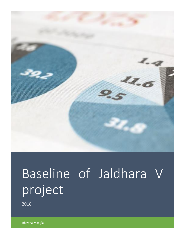

# Baseline of Jaldhara V project

2018

Bhawna Mangla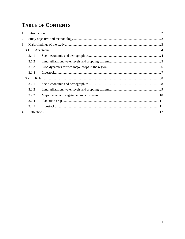## **TABLE OF CONTENTS**

| 1                        |       |  |
|--------------------------|-------|--|
| $\overline{2}$           |       |  |
| 3                        |       |  |
|                          | 3.1   |  |
|                          | 3.1.1 |  |
|                          | 3.1.2 |  |
|                          | 3.1.3 |  |
|                          | 3.1.4 |  |
|                          | 3.2   |  |
|                          | 3.2.1 |  |
|                          | 3.2.2 |  |
|                          | 3.2.3 |  |
|                          | 3.2.4 |  |
|                          | 3.2.5 |  |
| $\overline{\mathcal{A}}$ |       |  |
|                          |       |  |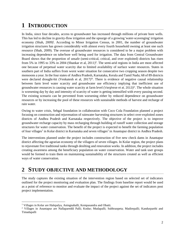## <span id="page-2-0"></span>**1 INTRODUCTION**

In India, since four decades, access to groundwater has increased through millions of private bore wells. This has led to decline in gravity-flow irrigation and the upsurge of a growing 'water-scavenging' irrigation economy (Shah, 2009)<sup>i</sup>. According to Minor Irrigation Census, in 2001, the number of groundwater irrigation structures has grown considerably with almost every fourth household owning at least one such resource (Shah, 2009). The overuse of groundwater resources is considered to be a major problem with increasing dependence on tube/bore well being used for irrigation. The data from Central Groundwater Board shows that the proportion of unsafe (semi-critical, critical, and over exploited) districts has risen from 5% in 1995 to 33% in 2004 (Shankar et al, 2011)<sup>ii</sup>. The semi-arid regions in India are most affected one because of perpetual water scarcity due to limited availability of surface water resources. States in southern part of India suffers from worst water situation for consecutive two cropping season despite two monsoons a year. In the four states of Andhra Pradesh, Karnataka, Kerala and Tamil Nadu; 68 of 89 districts were declared drought-hit (Venkatesh et al, 2017)<sup>iii</sup>. There is evidence of negative causal relationship between farm level water scarcity and groundwater use efficiency implying that inefficient use of groundwater resources is causing water scarcity at farm level (Varghese et al, 2013)<sup>iv</sup>. The whole situation is worsening day by day and intensity of scarcity of water is getting intensified with every passing second. The existing scenario can be prevented from worsening either by reduced dependence on groundwater resources or by increasing the pool of these resources with sustainable methods of harvest and recharge of rain water.

Owing to water crisis, Sehgal foundation in collaboration with Coco Cola Foundation planned a project focusing on construction and rejuvenation of rainwater harvesting structures in select over-exploited zones districts of Andhra Pradesh and Karnataka respectively. The objective of the project is to improve groundwater recharge capacity by mass recharging through building of runoff water collection and storage structures for water conservation. The benefit of the project is expected to benefit the farming population of four villages<sup>1</sup> in Kolar district in Karnataka and seven villages<sup>2</sup> in Anantapur district in Andhra Pradesh.

The interventions planned under the project includes construction of five new check dams in Anantapur district affecting the agrarian economy of the villagers of seven villages. In Kolar region, the project plans to rejuvenate five traditional tanks through desilting and renovation works. In addition, the project includes creating awareness among the beneficiary population on water conservation. Water and tank user groups would be formed to train them on maintaining sustainability of the structures created as well as efficient ways of water conservation.

## <span id="page-2-1"></span>**2 STUDY OBJECTIVE AND METHODOLOGY**

The study captures the existing situation of the intervention region based on selected set of indicators outlined for the project monitoring and evaluation plan. The findings from baseline report would be used as a point of reference to monitor and evaluate the impact of the project against the set of indicators post project implementation.

 $\overline{a}$ 

<sup>1</sup> Villages in Kolar are Halepalya, Aningnahalli, Kempasandra and Obatti.

<sup>&</sup>lt;sup>2</sup> Villages in Anantapur are Nallapareddi Palli; Kodur; Mudapalli; Subbraopeta; Madirepalli; Kandurparthi and Timadapalli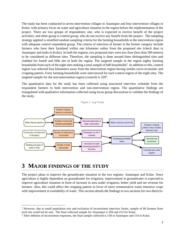The study has been conducted in seven intervention villages in Anantapur and four intervention villages in Kolar; with primary focus on water and agriculture situation in the region before the implementation of the project. There are two groups of respondents; one, who is expected to receive benefit of the project activities; and other group is control group, who do not receive any benefit from the project. The sampling strategy applied is stratified random sampling criteria for the farming households in the intervention region with adequate control respondent group. The criteria of selection of farmer in the former category include farmers who have their farmland within one kilometer radius from the proposed site (check dam in Anantapur and tanks in Kolar). In both the regions, two proposed sites were too close (less than 500 meters) to be considered as different sites. Therefore, the sampling is done around three distinguished sites and clubbed for fourth and fifth site in both the region. The targeted sample in the region eighty farming households from each of the eight sites making a total sample of 640 households<sup>3</sup>. In addition to this, control region was selected four kilometers away from the intervention region having similar socio-economic and cropping pattern. Forty farming households were interviewed for each control region of the eight sites. The targeted sample for the non-intervention region (control) is  $320<sup>4</sup>$ .

The quantitative data for the study has been collected using structured interview schedule from the respondent farmers in both intervention and non-intervention region. The quantitative findings are triangulated with qualitative information collected using focus group discussions to validate the findings of the study.



## <span id="page-3-0"></span>**3 MAJOR FINDINGS OF THE STUDY**

l

The project plans to improve the groundwater situation in the two regions- Anantapur and Kolar. Since agriculture is highly dependent on groundwater for irrigation, improvement in groundwater is expected to improve agriculture situation in form of increase in area under irrigation, better yield and net revenue for farmers. Also, this could affect the cropping pattern in favor of more remunerative water intensive crops with improvement in availability of water. This section details the findings in two sections for two districts-

<sup>3</sup> However, due to small population size and exclusion of inconsistent interview forms, sample of 80 farmers from each site could not be met. The final collected sample for Anantapur is 304 and 253 for Kolar.

<sup>4</sup> After deletion of inconsistent responses, the final sample collected is 158 in Anantapur and 154 in Kolar.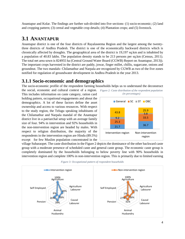Anantapur and Kolar. The findings are further sub-divided into five sections- (1) socio-economic; (2) land and cropping pattern; (3) cereal and vegetable crop details; (4) Plantation crops; and (5) livestock.

#### <span id="page-4-0"></span>**3.1 ANANTAPUR**

Anantapur district is one of the four districts of Rayalaseema Region and the largest among the twentythree districts of Andhra Pradesh. The district is one of the economically backward districts which is chronically affected by droughts. The geographical area of the district is 19,197 sq.km and is inhabited by a population of 40.83 lakhs. The population density stands to be 213 persons per sq.km (Census, 2011). The total net area sown is 824955 ha (Central Ground Water Board (CGWB) Report on Anantapur, 2013)). The important crops harvested in the district are paddy, jowar, finger millet, chillis, sugarcane, onions and groundnut. The two mandals- Chilamathur and Narpala are recognized by CGWB as two of the five zones notified for regulation of groundwater development in Andhra Pradesh in the year 2013.

#### <span id="page-4-1"></span>**3.1.1 Socio-economic and demographics**

The socio-economic profile of the respondent farming households helps us to understand the deconstruct

the social, economic and cultural context of a region. This includes information on caste category, ration card holding pattern, occupational engagements and about the demographics. A lot of these factors define the asset ownership and access to various resources. With respect to the study region, the Telugu speaking inhabitants of the Chilamathur and Narpala mandal of the Anantapur district live in a patriarchal setup with an average family size of four. 94% in intervention and 92% households in the non-intervention region are headed by males. With respect to religion distribution, the majority of the respondents in the intervention region are Hindu (89.5%) except for few Muslim population concentrated in the



village Subaraopet. The caste distribution in the Figure 2 depicts the dominance of the other backward caste group with a moderate presence of scheduled caste and general caste group. The economic caste group is completely dominated by the households belonging to below poverty line with 90% households in intervention region and complete 100% in non-intervention region. This is primarily due to limited earning



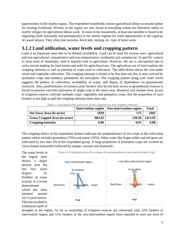opportunities in the nearby region. The respondent households choose agricultural labour as second option for earning livelihood. Women in the region are also found to travelling within ten kilometer radius to nearby villages for agricultural labour work. In most of the households, at least one member is found to be migrating (both seasonally and permanently) to the nearby regions for work opportunities in the capacity of casual laborer. They often join factories, brick kiln, mining, etc. type of labor work.

#### <span id="page-5-0"></span>**3.1.2 Land utilization, water levels and cropping pattern**

Land is an important asset due to its limited availability. Land can be used for various uses- agricultural and non-agricultural; remunerative and non-remunerative; residential and commercial. In specific context to rural areas of Anantapur, land is majorly used in agriculture. However, the use is sub-optimal due to rocky terrain making the land barren and unfit for agricultural use. The agriculture use of land explains the cropping intensity as well as intensity of water used in cultivation. The table below shows the area under cereal and vegetable cultivation. The cropping intensity is found to be less than one due to area covered by plantation crops and mulberry plantations for sericulture. The cropping pattern along with water levels suggests the pattern of cultivation, availability of water, and degree of dependence on groundwater resources. Also, predominance of resource poor farmers who do not have access to groundwater sources is forced to practice rain-fed cultivation of single crop in the entire year. Resource rich farmers have access to irrigation sources cultivate multiple crops, vegetables and plantation crops. But the proportion of such farmers is not high to pull the cropping intensity more than one.

|                                 |        | Intervention region   Non-intervention region | <b>Total</b> |
|---------------------------------|--------|-----------------------------------------------|--------------|
| <b>Net Sown Area (in acres)</b> | 1029   | 573                                           | 1602         |
| Gross Cropped Area (in acres)   | 883.45 | 530.50                                        | 1413.95      |
| <b>Cropping intensity</b>       | 0.86   | 0.93                                          | 0.88         |

*Table 1: Land details (Net sown area, Gross cropped area and Cropping intensity)*

The cropping choice of the respondent farmers indicates the preponderance of two crops in the cultivation pattern which includes groundnut (75%) and maize (30%). Other crops like finger millet and red gram are cultivated by less than 2% of the respondent group. A large proportion of plantation crops are covered by citrus limetta (*mosambi*) followed by mango, coconut and drumstick.



droughts in the region. As far as ownership of irrigation sources are concerned, only 22% farmers in intervention region and 15% farmers in the non-intervention region have reported to own ant form of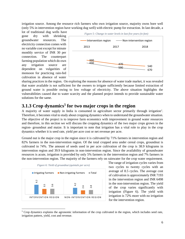irrigation source. Among the resource rich farmers who own irrigation source, majority owns bore well (only 5% in intervention region have working dug well) with electric pump for extraction. In last decade, a

lot of traditional dug wells have gone dry with shrinking groundwater resources. The electricity connection comes with no variable cost except for minute monthly service of INR 30 per connection. The counterpart farming population which do own any irrigation source are dependent on vulgarities of monsoon for practicing rain-fed cultivation in absence of water

<span id="page-6-1"></span>

sharing practices in the region. On exploring the reasons for absence of water trade market, it was revealed that water available is not sufficient for the owners to irrigate sufficiently because limited extraction of ground water is possible owing to low voltage of electricity. The above situation highlights the vulnerabilities caused due to water scarcity and the planned project intends to provide sustainable water solutions for the same.

#### <span id="page-6-0"></span>**3.1.3 Crop dynamics<sup>5</sup> for two major crops in the region**

A majority of water supply in India is consumed in agriculture sector primarily through irrigation<sup>v</sup>. Therefore, it becomes vital to study about cropping dynamics when to understand the groundwater situation. The objective of the project is to improve farm economics with improvement in ground water resources and therefore, in this section we will discuss the cropping dynamics of the two major crops grown in the region- groundnut and maize. It is important to note that irrigation has a vital role to play in the crop dynamics whether it is seed rate, yield per acre cost or net revenue per acre.

Ground nut is the major crop in the region since it is cultivated by 71% farmers in intervention region and 82% farmers in the non-intervention region. Of the total cropped area under cereal crops, groundnut is cultivated in 74%. The amount of seeds used in per acre cultivation of the crop is 38.9 kilograms in intervention region and 39.9 kilograms in non-intervention region. Since the availability of groundwater resources is acute, irrigation is provided by only 5% farmers in the intervention region and 7% farmers in the non-intervention region. The majority of the farmers rely on rainwater for the crop water requirement.

<span id="page-6-2"></span>

l

*Figure 6: Yield of groundnut (quintals per acre)*

The range of irrigation cycles varies from two cycles to twenty cycles with an average of 8.5 cycles. The average cost of cultivation is approximately INR 7193 in the intervention region and INR 6498 in the non-intervention region. The yield of the crop varies significantly with irrigation [\(Figure 6](#page-6-2)). The yield with irrigation is 72% more with no irrigation for the intervention region.

<sup>5</sup> Crop dynamics explains the agronomic information of the crop cultivated in the region, which includes seed rate,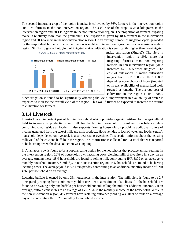The second important crop of the region is maize is cultivated by 36% farmers in the intervention region and 19% farmers in the non-intervention region. The seed rate of the crops is 26.8 kilograms in the intervention region and 28.1 kilograms in the non-intervention region. The proportion of farmers irrigating maize is relatively more than the groundnut. The irrigation is given by 18% farmers in the intervention region and 20% farmers in the non-intervention region. On an average number of irrigation cycles provided by the respondent farmer in maize cultivation is eight in intervention region and six in non-intervention region. Similar to groundnut, yield of irrigated maize cultivation is significantly higher than non-irrigated

<span id="page-7-1"></span>

maize cultivation [\(Figure7](#page-7-1)). The yield in intervention region is 39% more for irrigating farmers than non-irrigating farmers. In non-intervention region, yield increases by 106% when irrigated. The cost of cultivation in maize cultivation ranges from INR 1500 to INR 15000 depending upon choice of labor (imputed or hired); availability of mechanized tools (owned or rented). The average cost of cultivation in the region is INR 6880.

Since irrigation is found to be significantly affecting the yield, improvement in availability of water is expected to increase the overall yield of the region. This would further be expected to increase the returns to cultivation for farmers.

#### <span id="page-7-0"></span>**3.1.4 Livestock**

Livestock is an important part of farming household which provides organic fertilizer for the agricultural field to increase its productivity and milk for the farming household to boost nutrition balance while consuming crop residue as fodder. It also supports farming household by providing additional source of income generated from the sale of milk and milk products. However, due to lack of water and fodder (grass), household dependence on livestock is also decreasing overtime. This section informs about the existing milk yield of the cow and buffalo in the region. The information is collected for livestock that was reported to be lactating when the data collection was ongoing.

In Anantapur, cow is found to be a popular cattle option for the households that practice animal rearing. In the intervention region, 22% of households own lactating cows yielding milk of five liters in a day on an average. Among these, 88% households are found to selling milk contributing INR 3809 on an average to monthly household income. Similarly, in non-intervention region, 14% households are found to be having lactating cows. The average yield is 5.3 liters per day contributing to an additional monthly income of INR 4268 per household on an average.

Lactating buffalo is owned by only 3% households in the intervention. The milk yield is found to be 2.7 liters per day ranging from a minimum yield of one liter to a maximum of six liters. All the households are found to be owning only one buffalo per household but still selling the milk for additional income. On an average, buffalo contributes to an average of INR 2776 in the monthly income of the households. While in the non-intervention region, 4% farmers have lactating buffaloes yielding 4.4 liters of milk on a average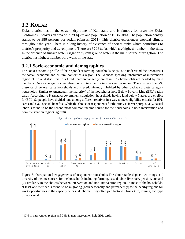### <span id="page-8-0"></span>**3.2 KOLAR**

Kolar district lies in the eastern dry zone of Karnataka and is famous for erstwhile Kolar Goldmines. It covers an area of 3979 sq.km and population of 15.36 lakhs. The population density stands to be 386 persons per sq.km (Census, 2011). This district experiences tropical climate throughout the year. There is a long history of existence of ancient tanks which contributes to district's prosperity and development. There are 3298 tanks which are highest number in the state. In the absence of surface water irrigation system ground water is the main source of irrigation. The district has highest number bore wells in the state.

#### <span id="page-8-1"></span>**3.2.1 Socio-economic and demographics**

The socio-economic profile of the respondent farming households helps us to understand the deconstruct the social, economic and cultural context of a region. The Kannada speaking inhabitants of intervention region of Kolar district live in a Hindu patriarchal set (more than 90% households are headed by male member). On an average, six members constitute a family in intervention region. There is less than 2% presence of general caste households and is predominantly inhabited by other backward caste category households. Similar to Anantapur, the majority<sup>6</sup> of the households hold Below Poverty Line (BPL) ration cards. According to Karnataka government stipulation, households having land below 5 acres are eligible for BPL. So people have divided land among different relatives in a way to meet eligibility criteria for BPL cards and avail special benefits. While the choice of respondents for the study is farmer purposively, casual labor is found to be the second most common income source for the households in both intervention and non-intervention region[\(Figure8](#page-8-2)).



<span id="page-8-2"></span>

Figure [8: Occupational engagements of respondent households:T](#page-8-2)he above table depicts two things- (1) diversity of income sources for the households including farming, casual labor, livestock, pension, etc; and (2) similarity in the choices between intervention and non-intervention region. In most of the households, at least one member is found to be migrating (both seasonally and permanently) to the nearby regions for work opportunities in the capacity of casual laborer. They often join factories, brick kiln, mining, etc. type of labor work.

 $\overline{a}$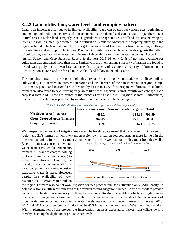#### <span id="page-9-0"></span>**3.2.2 Land utilization, water levels and cropping pattern**

Land is an important asset due to its limited availability. Land can be used for various uses- agricultural and non-agricultural; remunerative and non-remunerative; residential and commercial. In specific context to rural areas of Kolar, land is majorly used in agriculture. The agriculture use of land explains the cropping intensity as well as intensity of water used in cultivation. Similar to Anantpur, the cropping intensity in the region is found to be less than one. This is largely due to acres of land used for fruit plantations, mulberry for sericulture and eucalyptus plantations. The cropping pattern along with water levels suggests the pattern of cultivation, availability of water, and degree of dependence on groundwater resources. According to Annual Season and Crop Statistics Report, in the year 2013-14, only 5.4% of net land available for cultivation was cultivated more than once. Similarly, in the intervention, a majority of farmers are found to be cultivating only once or even less than once. Due to paucity of resources, a majority of farmers do not own irrigation sources and are forced to leave their land fallow in the rabi season.

The cropping pattern in the region highlights preponderance of only one major crop- finger millet; cultivated by 86% farmers in intervention region and 94% farmers of the non-intervention region. Crops like tomato, potato and marigold are cultivated by less than 15% of the respondent farmers. In addition, farmers are also found to be cultivating vegetables like beans, capsicum, carrot, cauliflower, cabbage (each crop less than 2%). These are primarily the farmers having their own irrigation sources. Furthermore, plantation of Eucalyptus is practiced by one-fourth of the farmers in both the region.

|                               |        | Intervention region   Non-intervention region | <b>Total</b> |
|-------------------------------|--------|-----------------------------------------------|--------------|
| Net Sown Area (in acres)      | 485.2  | 313.39                                        | 798.59       |
| Gross Cropped Area (in acres) | 364.05 | 221.76                                        | 585.81       |
| <b>Cropping intensity</b>     | 0.75   | 0.71                                          | 0.73         |

*Table 2: Land details (Net sown area, Gross cropped area and Cropping intensity)*

With respect to ownership of irrigation resources, the baseline data reveal that 32% farmers in intervention region and 21% farmers in non-intervention region own irrigation sources. Among these farmers in the intervention region, fourth-fifth extract groundwater from bore well and one-fifth extract from dug wells.

Electric pumps are used to extract water at no cost. Unlike Anantapur, farmers in Kolar are charged nothing (not even minimal service charge) to extract groundwater. Therefore, the irrigation cost is inclusive of only fixed component and variable cost of extracting water is zero. However, despite free availability of water resources fail to create water trade in



the region. Farmers who do not own irrigation sources practice rain-fed cultivation only. Additionally, in both the regions, a little more four-fifth of the farmers owning irrigation sources use drip methods to provide water to the fields. Since majority of these famers are cultivating vegetables, which are highly water intensive, drip irrigation is essential to maintain sufficient moisture in the farmland. As far as levels of groundwater are concerned, according to water levels reported by respondent farmers for the year 2018, 2017 and 2011; they have found to be declined by 65% in intervention region and 63% in non-intervention. With implementation of the project, the intervention region is expected to harvest rain efficiently and thereby checking the depletion of groundwater levels.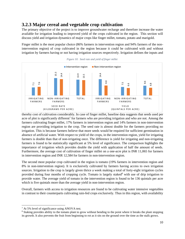#### <span id="page-10-0"></span>**3.2.3 Major cereal and vegetable crop cultivation**

The primary objective of the project is to improve groundwater recharge and therefore increase the water available for irrigation leading to improved yield of the crops cultivated in the region. This section will discuss yield and irrigation dynamics of major crops like finger millet, tomato, potato and marigold.

Finger millet is the most popular choice (86% farmers in intervention region and 94% farmers of the nonintervention region) of crop cultivated in the region because it could be cultivated with and without irrigation by farmers having or not having irrigation sources respectively. Irrigation defines the inputs and





thereby cost of cultivation considerably. In case of finger millet, baseline data suggests that seeds used per acre of plot is significantly different<sup>7</sup> for farmers who are providing irrigation and who are not. Among the farmers cultivating finger millet, 17% farmers in intervention region and 14% farmers in non-intervention region are providing irrigation to the crop. The seed rate is almost double for the farmers providing no irrigation. This is because farmers believe that more seeds would be required for sufficient germination in absence of artificial water. With respect to yield of the crops, in the intervention region, yield for irrigating farmers is double than that of non-irrigating once. The difference is yield for irrigating and non-irrigating farmers is found to be statistically significant at 5% level of significance. The comparison highlights the importance of irrigation which provides double the yield with application of half the amount of seeds. Furthermore, the average cost of cultivation of finger millet on a one-acre plot is INR 11,065 for farmers in intervention region and INR 12,584 for farmers in non-intervention region. **EVALUAT THE CONDUCT CONDUCT CONDUCT CONDUCT THE FRUITE CONDUCT THE FRUITE CONDUCT THE CONDUCT CONDUCT THE CONDUCT CONDUCT THE CONDUCT CONDUCT CONDUCT THE CONDUCT CONDUCT THE CONDUCT CONDUCT CONDUCT CONDUCT CONDUCT CONDU** 

The second most popular crop cultivated in the region is tomato (19% farmers in intervention region and 8% in non-intervention region). It is exclusively cultivated by farmers having access to own irrigation sources. Irrigation to the crop is largely given thrice a week making a total of forty-eight irrigation cycles provided during four months of cropping cycle. Tomato is largely staked<sup>8</sup> with use of drip irrigation to provide water. The average yield of tomato in the intervention region is found to be 136 quintals per acre which is five quintals more than the average yield in non-intervention region.

Overall, farmers with access to irrigation resources are found to be cultivating water intensive vegetables in contrast to their counterparts cultivating rain-fed crops exclusively. Thus in this region, with availability

l

<sup>7</sup> At 5% level of significance using ANOVA test.

<sup>&</sup>lt;sup>8</sup> Staking provides ability to the tomato plant to grow without bending to the point where it breaks the plant stopping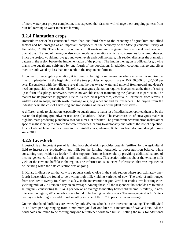of more water post project completion, it is expected that farmers will change their cropping pattern from rain-fed farming to water intensive farming.

#### <span id="page-11-0"></span>**3.2.4 Plantation crops**

Horticulture sector has contributed more than one third share to the economy of agriculture and allied sectors and has emerged as an important component of the economy of the State (Economic Survey of Karnataka, 2018). The climatic conditions in Karnataka are congenial for medicinal and aromatic plantations. The land of the region also accommodates plantations which also consumes lot of groundwater. Since the project would improve groundwater levels and spoil moisture, this section discusses the plantation pattern in the region before the implementation of the project. The land in the region is utilized for growing plants like eucalyptus cultivated by one-fourth of the population. In addition, coconut, mango and silver trees are cultivated by less than one-tenth of the respondent farmers.

In context of eucalyptus plantation, it is found to be highly remunerative where a farmer is required to invest in plantation in the beginning and the tree provides an approximate of INR 50,000 to 1,00,000 per acre. Discussions with the villagers reveal that the tree extract water and mineral from ground and doesn't need any pesticide or insecticide. Therefore, eucalyptus plantation requires investment at the time of setting up in form of saplings, otherwise, there is no variable cost of maintaining the plantation in particular. The market for its produce is gigantic. Due to its medicinal properties, essential oil extracted from leaves is widely used in soaps, mouth wash, massage oils, bug repellant and air fresheners. The buyers from the industry bears the cost of harvesting and transporting of leaves of the plant themselves.

A different angle to plantation, especially to eucalyptus, is that a lot of studies have reported them to be the reason for depleting groundwater resources (Davidson, 1995)<sup>vi</sup>. The characteristics of eucalyptus makes it high bio-mass producing plant but also it consumes lot of water. The groundwater consumption makes other species in the vicinity to compete for water resources leading to allelopathy and fastens the rate of depletion. It is not advisable to plant such tree in low rainfall areas, whereas, Kolar has been declared drought prone since 2011.

#### <span id="page-11-1"></span>**3.2.5 Livestock**

Livestock is an important part of farming household which provides organic fertilizer for the agricultural field to increase its productivity and milk for the farming household to boost nutrition balance while consuming crop residue as fodder. It also supports farming household by providing additional source of income generated from the sale of milk and milk products. This section informs about the existing milk yield of the cow and buffalo in the region. The information is collected for livestock that was reported to be lactating when the data collection was ongoing.

In Kolar, findings reveal that cow is a popular cattle choice in the study region where approximately one– fourth households are found to be owning high milk-yielding varieties of cow. The yield of milk ranges from one liter to twenty-four liters in a day. In the intervention region, 24% households own lactating cows yielding milk of 7.2 liters in a day on an average. Among these, all the respondent households are found to selling milk contributing INR 7451 per cow on an average to monthly household income. Similarly, in nonintervention region, 28% households are found to be having lactating cows. The average yield is 10.5 liters per day contributing to an additional monthly income of INR 8738 per cow on an average.

On the other hand, buffaloes are owned by only 8% households in the intervention having. The milk yield is 4.4 liters per day ranging from a minimum yield of one liter to a maximum of twelve liters. All the households are found to be owning only one buffalo per household but still selling the milk for additional